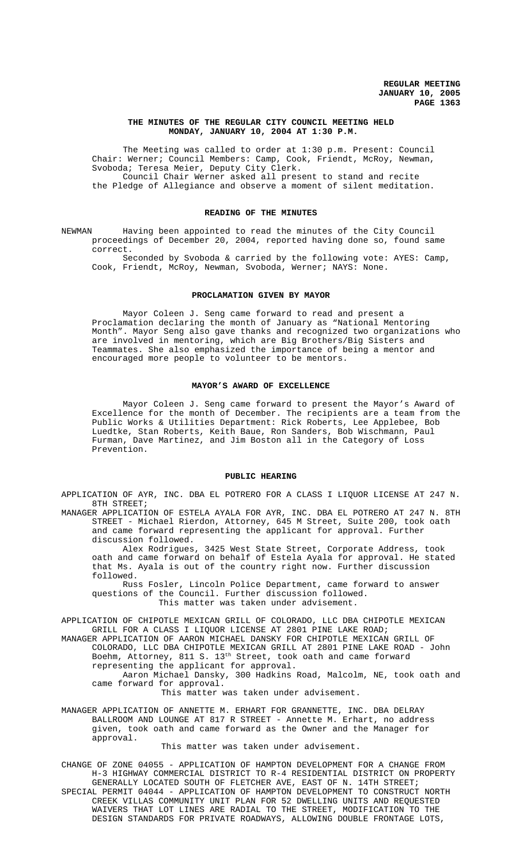## **THE MINUTES OF THE REGULAR CITY COUNCIL MEETING HELD MONDAY, JANUARY 10, 2004 AT 1:30 P.M.**

The Meeting was called to order at 1:30 p.m. Present: Council Chair: Werner; Council Members: Camp, Cook, Friendt, McRoy, Newman, Svoboda; Teresa Meier, Deputy City Clerk. Council Chair Werner asked all present to stand and recite the Pledge of Allegiance and observe a moment of silent meditation.

# **READING OF THE MINUTES**

NEWMAN Having been appointed to read the minutes of the City Council proceedings of December 20, 2004, reported having done so, found same correct.

Seconded by Svoboda & carried by the following vote: AYES: Camp, Cook, Friendt, McRoy, Newman, Svoboda, Werner; NAYS: None.

# **PROCLAMATION GIVEN BY MAYOR**

Mayor Coleen J. Seng came forward to read and present a Proclamation declaring the month of January as "National Mentoring Month". Mayor Seng also gave thanks and recognized two organizations who are involved in mentoring, which are Big Brothers/Big Sisters and Teammates. She also emphasized the importance of being a mentor and encouraged more people to volunteer to be mentors.

### **MAYOR'S AWARD OF EXCELLENCE**

Mayor Coleen J. Seng came forward to present the Mayor's Award of Excellence for the month of December. The recipients are a team from the Public Works & Utilities Department: Rick Roberts, Lee Applebee, Bob Luedtke, Stan Roberts, Keith Baue, Ron Sanders, Bob Wischmann, Paul Furman, Dave Martinez, and Jim Boston all in the Category of Loss Prevention.

#### **PUBLIC HEARING**

APPLICATION OF AYR, INC. DBA EL POTRERO FOR A CLASS I LIQUOR LICENSE AT 247 N. 8TH STREET;

MANAGER APPLICATION OF ESTELA AYALA FOR AYR, INC. DBA EL POTRERO AT 247 N. 8TH STREET - Michael Rierdon, Attorney, 645 M Street, Suite 200, took oath and came forward representing the applicant for approval. Further discussion followed.

Alex Rodrigues, 3425 West State Street, Corporate Address, took oath and came forward on behalf of Estela Ayala for approval. He stated that Ms. Ayala is out of the country right now. Further discussion followed.

Russ Fosler, Lincoln Police Department, came forward to answer questions of the Council. Further discussion followed. This matter was taken under advisement.

APPLICATION OF CHIPOTLE MEXICAN GRILL OF COLORADO, LLC DBA CHIPOTLE MEXICAN GRILL FOR A CLASS I LIQUOR LICENSE AT 2801 PINE LAKE ROAD;

MANAGER APPLICATION OF AARON MICHAEL DANSKY FOR CHIPOTLE MEXICAN GRILL OF COLORADO, LLC DBA CHIPOTLE MEXICAN GRILL AT 2801 PINE LAKE ROAD - John Boehm, Attorney, 811 S. 13th Street, took oath and came forward representing the applicant for approval.

Aaron Michael Dansky, 300 Hadkins Road, Malcolm, NE, took oath and came forward for approval.

This matter was taken under advisement.

MANAGER APPLICATION OF ANNETTE M. ERHART FOR GRANNETTE, INC. DBA DELRAY BALLROOM AND LOUNGE AT 817 R STREET - Annette M. Erhart, no address given, took oath and came forward as the Owner and the Manager for approval.

This matter was taken under advisement.

CHANGE OF ZONE 04055 - APPLICATION OF HAMPTON DEVELOPMENT FOR A CHANGE FROM H-3 HIGHWAY COMMERCIAL DISTRICT TO R-4 RESIDENTIAL DISTRICT ON PROPERTY GENERALLY LOCATED SOUTH OF FLETCHER AVE, EAST OF N. 14TH STREET; SPECIAL PERMIT 04044 - APPLICATION OF HAMPTON DEVELOPMENT TO CONSTRUCT NORTH CREEK VILLAS COMMUNITY UNIT PLAN FOR 52 DWELLING UNITS AND REQUESTED WAIVERS THAT LOT LINES ARE RADIAL TO THE STREET, MODIFICATION TO THE DESIGN STANDARDS FOR PRIVATE ROADWAYS, ALLOWING DOUBLE FRONTAGE LOTS,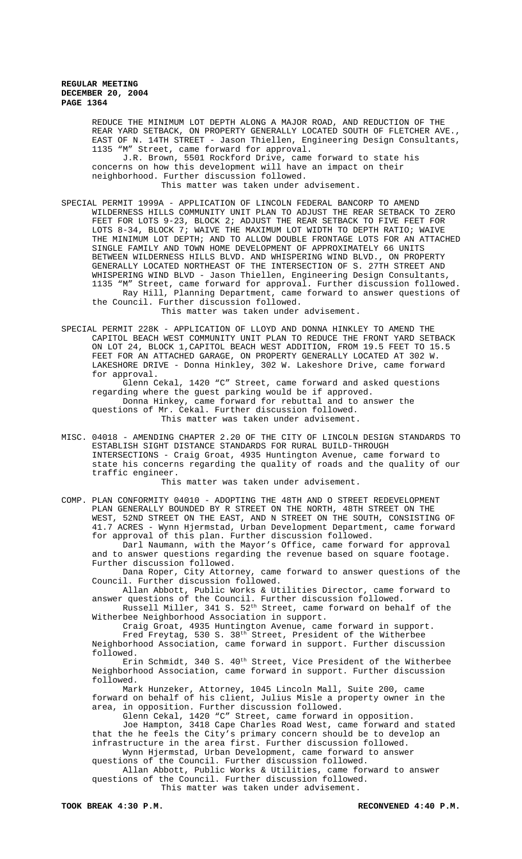REDUCE THE MINIMUM LOT DEPTH ALONG A MAJOR ROAD, AND REDUCTION OF THE REAR YARD SETBACK, ON PROPERTY GENERALLY LOCATED SOUTH OF FLETCHER AVE., EAST OF N. 14TH STREET - Jason Thiellen, Engineering Design Consultants, 1135 "M" Street, came forward for approval.

J.R. Brown, 5501 Rockford Drive, came forward to state his concerns on how this development will have an impact on their neighborhood. Further discussion followed. This matter was taken under advisement.

SPECIAL PERMIT 1999A - APPLICATION OF LINCOLN FEDERAL BANCORP TO AMEND WILDERNESS HILLS COMMUNITY UNIT PLAN TO ADJUST THE REAR SETBACK TO ZERO FEET FOR LOTS 9-23, BLOCK 2; ADJUST THE REAR SETBACK TO FIVE FEET FOR LOTS 8-34, BLOCK 7; WAIVE THE MAXIMUM LOT WIDTH TO DEPTH RATIO; WAIVE THE MINIMUM LOT DEPTH; AND TO ALLOW DOUBLE FRONTAGE LOTS FOR AN ATTACHED SINGLE FAMILY AND TOWN HOME DEVELOPMENT OF APPROXIMATELY 66 UNITS BETWEEN WILDERNESS HILLS BLVD. AND WHISPERING WIND BLVD., ON PROPERTY GENERALLY LOCATED NORTHEAST OF THE INTERSECTION OF S. 27TH STREET AND WHISPERING WIND BLVD - Jason Thiellen, Engineering Design Consultants, 1135 "M" Street, came forward for approval. Further discussion followed. Ray Hill, Planning Department, came forward to answer questions of

the Council. Further discussion followed. This matter was taken under advisement.

SPECIAL PERMIT 228K - APPLICATION OF LLOYD AND DONNA HINKLEY TO AMEND THE CAPITOL BEACH WEST COMMUNITY UNIT PLAN TO REDUCE THE FRONT YARD SETBACK ON LOT 24, BLOCK 1,CAPITOL BEACH WEST ADDITION, FROM 19.5 FEET TO 15.5 FEET FOR AN ATTACHED GARAGE, ON PROPERTY GENERALLY LOCATED AT 302 W. LAKESHORE DRIVE - Donna Hinkley, 302 W. Lakeshore Drive, came forward for approval.

Glenn Cekal, 1420 "C" Street, came forward and asked questions regarding where the guest parking would be if approved. Donna Hinkey, came forward for rebuttal and to answer the questions of Mr. Cekal. Further discussion followed. This matter was taken under advisement.

MISC. 04018 - AMENDING CHAPTER 2.20 OF THE CITY OF LINCOLN DESIGN STANDARDS TO ESTABLISH SIGHT DISTANCE STANDARDS FOR RURAL BUILD-THROUGH INTERSECTIONS - Craig Groat, 4935 Huntington Avenue, came forward to state his concerns regarding the quality of roads and the quality of our traffic engineer.

This matter was taken under advisement.

COMP. PLAN CONFORMITY 04010 - ADOPTING THE 48TH AND O STREET REDEVELOPMENT PLAN GENERALLY BOUNDED BY R STREET ON THE NORTH, 48TH STREET ON THE WEST, 52ND STREET ON THE EAST, AND N STREET ON THE SOUTH, CONSISTING OF 41.7 ACRES - Wynn Hjermstad, Urban Development Department, came forward for approval of this plan. Further discussion followed.

Darl Naumann, with the Mayor's Office, came forward for approval and to answer questions regarding the revenue based on square footage. Further discussion followed.

Dana Roper, City Attorney, came forward to answer questions of the Council. Further discussion followed.

Allan Abbott, Public Works & Utilities Director, came forward to answer questions of the Council. Further discussion followed.

Russell Miller, 341 S.  $52^{\text{th}}$  Street, came forward on behalf of the Witherbee Neighborhood Association in support.

Craig Groat, 4935 Huntington Avenue, came forward in support. Fred Freytag, 530 S. 38<sup>th</sup> Street, President of the Witherbee

Neighborhood Association, came forward in support. Further discussion followed.

Erin Schmidt, 340 S. 40<sup>th</sup> Street, Vice President of the Witherbee Neighborhood Association, came forward in support. Further discussion followed.

Mark Hunzeker, Attorney, 1045 Lincoln Mall, Suite 200, came forward on behalf of his client, Julius Misle a property owner in the area, in opposition. Further discussion followed.

Glenn Cekal, 1420 "C" Street, came forward in opposition.

Joe Hampton, 3418 Cape Charles Road West, came forward and stated that the he feels the City's primary concern should be to develop an infrastructure in the area first. Further discussion followed. Wynn Hjermstad, Urban Development, came forward to answer

questions of the Council. Further discussion followed.

Allan Abbott, Public Works & Utilities, came forward to answer questions of the Council. Further discussion followed. This matter was taken under advisement.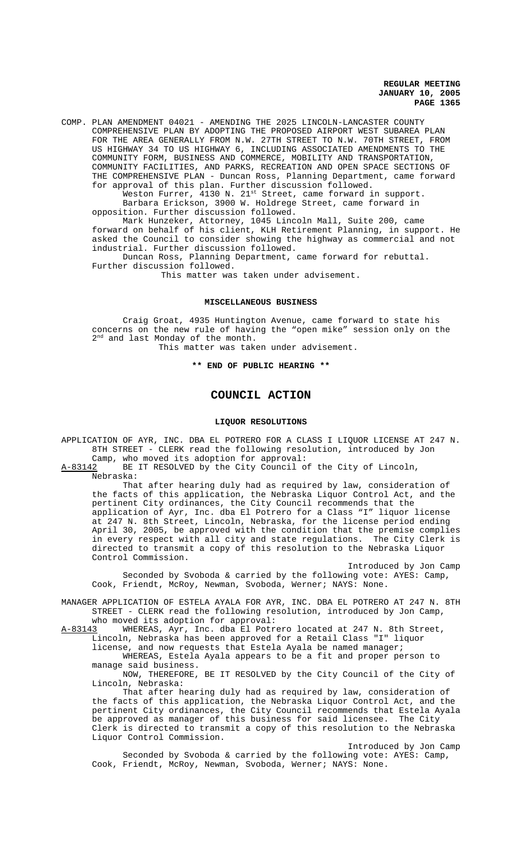COMP. PLAN AMENDMENT 04021 - AMENDING THE 2025 LINCOLN-LANCASTER COUNTY COMPREHENSIVE PLAN BY ADOPTING THE PROPOSED AIRPORT WEST SUBAREA PLAN FOR THE AREA GENERALLY FROM N.W. 27TH STREET TO N.W. 70TH STREET, FROM US HIGHWAY 34 TO US HIGHWAY 6, INCLUDING ASSOCIATED AMENDMENTS TO THE COMMUNITY FORM, BUSINESS AND COMMERCE, MOBILITY AND TRANSPORTATION, COMMUNITY FACILITIES, AND PARKS, RECREATION AND OPEN SPACE SECTIONS OF THE COMPREHENSIVE PLAN - Duncan Ross, Planning Department, came forward for approval of this plan. Further discussion followed.

Weston Furrer, 4130 N. 21<sup>st</sup> Street, came forward in support. Barbara Erickson, 3900 W. Holdrege Street, came forward in opposition. Further discussion followed.

Mark Hunzeker, Attorney, 1045 Lincoln Mall, Suite 200, came forward on behalf of his client, KLH Retirement Planning, in support. He asked the Council to consider showing the highway as commercial and not industrial. Further discussion followed.

Duncan Ross, Planning Department, came forward for rebuttal. Further discussion followed.

This matter was taken under advisement.

#### **MISCELLANEOUS BUSINESS**

Craig Groat, 4935 Huntington Avenue, came forward to state his concerns on the new rule of having the "open mike" session only on the 2<sup>nd</sup> and last Monday of the month.

This matter was taken under advisement.

# **\*\* END OF PUBLIC HEARING \*\***

# **COUNCIL ACTION**

### **LIQUOR RESOLUTIONS**

APPLICATION OF AYR, INC. DBA EL POTRERO FOR A CLASS I LIQUOR LICENSE AT 247 N. 8TH STREET - CLERK read the following resolution, introduced by Jon Camp, who moved its adoption for approval:

A-83142 BE IT RESOLVED by the City Council of the City of Lincoln, Nebraska:

That after hearing duly had as required by law, consideration of the facts of this application, the Nebraska Liquor Control Act, and the pertinent City ordinances, the City Council recommends that the application of Ayr, Inc. dba El Potrero for a Class "I" liquor license at 247 N. 8th Street, Lincoln, Nebraska, for the license period ending April 30, 2005, be approved with the condition that the premise complies in every respect with all city and state regulations. The City Clerk is directed to transmit a copy of this resolution to the Nebraska Liquor Control Commission.

Introduced by Jon Camp Seconded by Svoboda & carried by the following vote: AYES: Camp, Cook, Friendt, McRoy, Newman, Svoboda, Werner; NAYS: None.

MANAGER APPLICATION OF ESTELA AYALA FOR AYR, INC. DBA EL POTRERO AT 247 N. 8TH STREET - CLERK read the following resolution, introduced by Jon Camp, who moved its adoption for approval:

A-83143 WHEREAS, Ayr, Inc. dba El Potrero located at 247 N. 8th Street, Lincoln, Nebraska has been approved for a Retail Class "I" liquor

license, and now requests that Estela Ayala be named manager; WHEREAS, Estela Ayala appears to be a fit and proper person to

manage said business.

NOW, THEREFORE, BE IT RESOLVED by the City Council of the City of Lincoln, Nebraska:

That after hearing duly had as required by law, consideration of the facts of this application, the Nebraska Liquor Control Act, and the pertinent City ordinances, the City Council recommends that Estela Ayala be approved as manager of this business for said licensee. The City Clerk is directed to transmit a copy of this resolution to the Nebraska Liquor Control Commission.

Introduced by Jon Camp Seconded by Svoboda & carried by the following vote: AYES: Camp, Cook, Friendt, McRoy, Newman, Svoboda, Werner; NAYS: None.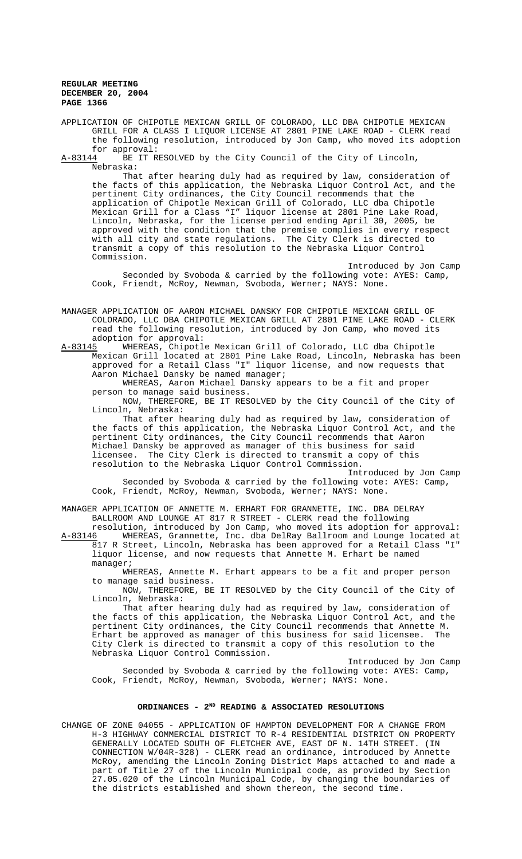APPLICATION OF CHIPOTLE MEXICAN GRILL OF COLORADO, LLC DBA CHIPOTLE MEXICAN GRILL FOR A CLASS I LIQUOR LICENSE AT 2801 PINE LAKE ROAD - CLERK read the following resolution, introduced by Jon Camp, who moved its adoption

for approval:<br><u>A-83144</u> BE IT R BE IT RESOLVED by the City Council of the City of Lincoln, Nebraska:

That after hearing duly had as required by law, consideration of the facts of this application, the Nebraska Liquor Control Act, and the pertinent City ordinances, the City Council recommends that the application of Chipotle Mexican Grill of Colorado, LLC dba Chipotle Mexican Grill for a Class "I" liquor license at 2801 Pine Lake Road, Lincoln, Nebraska, for the license period ending April 30, 2005, be approved with the condition that the premise complies in every respect with all city and state regulations. The City Clerk is directed to transmit a copy of this resolution to the Nebraska Liquor Control Commission.

Introduced by Jon Camp Seconded by Svoboda & carried by the following vote: AYES: Camp, Cook, Friendt, McRoy, Newman, Svoboda, Werner; NAYS: None.

MANAGER APPLICATION OF AARON MICHAEL DANSKY FOR CHIPOTLE MEXICAN GRILL OF COLORADO, LLC DBA CHIPOTLE MEXICAN GRILL AT 2801 PINE LAKE ROAD - CLERK read the following resolution, introduced by Jon Camp, who moved its adoption for approval:<br>A-83145 MHEREAS, Chipotl

A-83145 WHEREAS, Chipotle Mexican Grill of Colorado, LLC dba Chipotle Mexican Grill located at 2801 Pine Lake Road, Lincoln, Nebraska has been approved for a Retail Class "I" liquor license, and now requests that Aaron Michael Dansky be named manager;

WHEREAS, Aaron Michael Dansky appears to be a fit and proper person to manage said business.

NOW, THEREFORE, BE IT RESOLVED by the City Council of the City of Lincoln, Nebraska:

That after hearing duly had as required by law, consideration of the facts of this application, the Nebraska Liquor Control Act, and the pertinent City ordinances, the City Council recommends that Aaron Michael Dansky be approved as manager of this business for said licensee. The City Clerk is directed to transmit a copy of this resolution to the Nebraska Liquor Control Commission.

Introduced by Jon Camp Seconded by Svoboda & carried by the following vote: AYES: Camp, Cook, Friendt, McRoy, Newman, Svoboda, Werner; NAYS: None.

MANAGER APPLICATION OF ANNETTE M. ERHART FOR GRANNETTE, INC. DBA DELRAY BALLROOM AND LOUNGE AT 817 R STREET - CLERK read the following

resolution, introduced by Jon Camp, who moved its adoption for approval: A-83146 WHEREAS, Grannette, Inc. dba DelRay Ballroom and Lounge located at 817 R Street, Lincoln, Nebraska has been approved for a Retail Class "I" liquor license, and now requests that Annette M. Erhart be named manager;

WHEREAS, Annette M. Erhart appears to be a fit and proper person to manage said business.

NOW, THEREFORE, BE IT RESOLVED by the City Council of the City of Lincoln, Nebraska:

That after hearing duly had as required by law, consideration of the facts of this application, the Nebraska Liquor Control Act, and the pertinent City ordinances, the City Council recommends that Annette M. Erhart be approved as manager of this business for said licensee. The City Clerk is directed to transmit a copy of this resolution to the Nebraska Liquor Control Commission.

Introduced by Jon Camp Seconded by Svoboda & carried by the following vote: AYES: Camp, Cook, Friendt, McRoy, Newman, Svoboda, Werner; NAYS: None.

# **ORDINANCES - 2ND READING & ASSOCIATED RESOLUTIONS**

CHANGE OF ZONE 04055 - APPLICATION OF HAMPTON DEVELOPMENT FOR A CHANGE FROM H-3 HIGHWAY COMMERCIAL DISTRICT TO R-4 RESIDENTIAL DISTRICT ON PROPERTY GENERALLY LOCATED SOUTH OF FLETCHER AVE, EAST OF N. 14TH STREET. (IN CONNECTION W/04R-328) - CLERK read an ordinance, introduced by Annette McRoy, amending the Lincoln Zoning District Maps attached to and made a part of Title 27 of the Lincoln Municipal code, as provided by Section part of fitte 2. of the *and code*, by changing the boundaries of the districts established and shown thereon, the second time.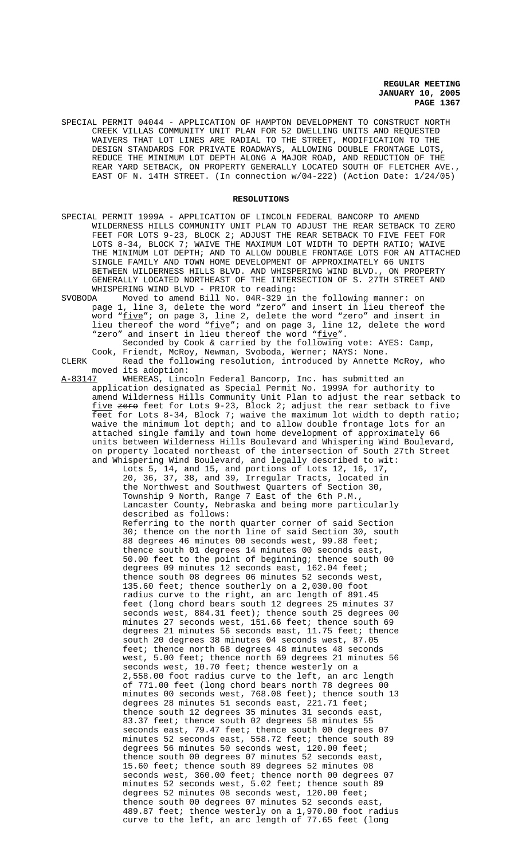SPECIAL PERMIT 04044 - APPLICATION OF HAMPTON DEVELOPMENT TO CONSTRUCT NORTH CREEK VILLAS COMMUNITY UNIT PLAN FOR 52 DWELLING UNITS AND REQUESTED WAIVERS THAT LOT LINES ARE RADIAL TO THE STREET, MODIFICATION TO THE DESIGN STANDARDS FOR PRIVATE ROADWAYS, ALLOWING DOUBLE FRONTAGE LOTS, REDUCE THE MINIMUM LOT DEPTH ALONG A MAJOR ROAD, AND REDUCTION OF THE REAR YARD SETBACK, ON PROPERTY GENERALLY LOCATED SOUTH OF FLETCHER AVE., EAST OF N. 14TH STREET. (In connection w/04-222) (Action Date: 1/24/05)

## **RESOLUTIONS**

- SPECIAL PERMIT 1999A APPLICATION OF LINCOLN FEDERAL BANCORP TO AMEND WILDERNESS HILLS COMMUNITY UNIT PLAN TO ADJUST THE REAR SETBACK TO ZERO FEET FOR LOTS 9-23, BLOCK 2; ADJUST THE REAR SETBACK TO FIVE FEET FOR LOTS 8-34, BLOCK 7; WAIVE THE MAXIMUM LOT WIDTH TO DEPTH RATIO; WAIVE THE MINIMUM LOT DEPTH; AND TO ALLOW DOUBLE FRONTAGE LOTS FOR AN ATTACHED SINGLE FAMILY AND TOWN HOME DEVELOPMENT OF APPROXIMATELY 66 UNITS BETWEEN WILDERNESS HILLS BLVD. AND WHISPERING WIND BLVD., ON PROPERTY GENERALLY LOCATED NORTHEAST OF THE INTERSECTION OF S. 27TH STREET AND WHISPERING WIND BLVD - PRIOR to reading:<br>SVOBODA Moved to amend Bill No. 04R-329 in
- SVOBODA Moved to amend Bill No. 04R-329 in the following manner: on page 1, line 3, delete the word "zero" and insert in lieu thereof the word "<u>five</u>"; on page 3, line 2, delete the word "zero" and insert in lieu thereof the word "five"; and on page 3, line 12, delete the word "zero" and insert in lieu thereof the word "five".
- Seconded by Cook & carried by the following vote: AYES: Camp, Cook, Friendt, McRoy, Newman, Svoboda, Werner; NAYS: None. CLERK Read the following resolution, introduced by Annette McRoy, who

moved its adoption:

A-83147 WHEREAS, Lincoln Federal Bancorp, Inc. has submitted an application designated as Special Permit No. 1999A for authority to amend Wilderness Hills Community Unit Plan to adjust the rear setback to five zero feet for Lots 9-23, Block 2; adjust the rear setback to five feet for Lots 8-34, Block 7; waive the maximum lot width to depth ratio; waive the minimum lot depth; and to allow double frontage lots for an attached single family and town home development of approximately 66 units between Wilderness Hills Boulevard and Whispering Wind Boulevard, on property located northeast of the intersection of South 27th Street and Whispering Wind Boulevard, and legally described to wit: Lots 5, 14, and 15, and portions of Lots 12, 16, 17,

20, 36, 37, 38, and 39, Irregular Tracts, located in the Northwest and Southwest Quarters of Section 30, Township 9 North, Range 7 East of the 6th P.M., Lancaster County, Nebraska and being more particularly described as follows:

Referring to the north quarter corner of said Section 30; thence on the north line of said Section 30, south 88 degrees 46 minutes 00 seconds west, 99.88 feet; thence south 01 degrees 14 minutes 00 seconds east, 50.00 feet to the point of beginning; thence south 00 degrees 09 minutes 12 seconds east, 162.04 feet; thence south 08 degrees 06 minutes 52 seconds west, 135.60 feet; thence southerly on a 2,030.00 foot radius curve to the right, an arc length of 891.45 feet (long chord bears south 12 degrees 25 minutes 37 seconds west, 884.31 feet); thence south 25 degrees 00 minutes 27 seconds west, 151.66 feet; thence south 69 degrees 21 minutes 56 seconds east, 11.75 feet; thence south 20 degrees 38 minutes 04 seconds west, 87.05 feet; thence north 68 degrees 48 minutes 48 seconds west, 5.00 feet; thence north 69 degrees 21 minutes 56 seconds west, 10.70 feet; thence westerly on a 2,558.00 foot radius curve to the left, an arc length of 771.00 feet (long chord bears north 78 degrees 00 minutes 00 seconds west, 768.08 feet); thence south 13 degrees 28 minutes 51 seconds east, 221.71 feet; thence south 12 degrees 35 minutes 31 seconds east, 83.37 feet; thence south 02 degrees 58 minutes 55 seconds east, 79.47 feet; thence south 00 degrees 07 minutes 52 seconds east, 558.72 feet; thence south 89 degrees 56 minutes 50 seconds west, 120.00 feet; thence south 00 degrees 07 minutes 52 seconds east, 15.60 feet; thence south 89 degrees 52 minutes 08 seconds west, 360.00 feet; thence north 00 degrees 07 minutes 52 seconds west, 5.02 feet; thence south 89 degrees 52 minutes 08 seconds west, 120.00 feet; thence south 00 degrees 07 minutes 52 seconds east, 489.87 feet; thence westerly on a 1,970.00 foot radius curve to the left, an arc length of 77.65 feet (long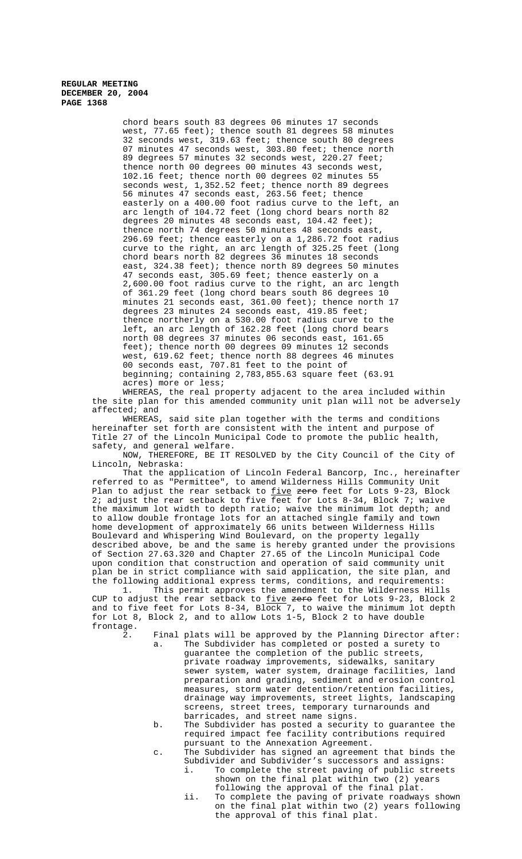chord bears south 83 degrees 06 minutes 17 seconds west, 77.65 feet); thence south 81 degrees 58 minutes 32 seconds west, 319.63 feet; thence south 80 degrees 07 minutes 47 seconds west, 303.80 feet; thence north 89 degrees 57 minutes 32 seconds west, 220.27 feet; thence north 00 degrees 00 minutes 43 seconds west, 102.16 feet; thence north 00 degrees 02 minutes 55 seconds west, 1,352.52 feet; thence north 89 degrees 56 minutes 47 seconds east, 263.56 feet; thence easterly on a 400.00 foot radius curve to the left, arc length of 104.72 feet (long chord bears north 82 degrees 20 minutes 48 seconds east, 104.42 feet); thence north 74 degrees 50 minutes 48 seconds east, 296.69 feet; thence easterly on a 1,286.72 foot radius curve to the right, an arc length of 325.25 feet (long chord bears north 82 degrees 36 minutes 18 seconds east, 324.38 feet); thence north 89 degrees 50 minutes 47 seconds east, 305.69 feet; thence easterly on a 2,600.00 foot radius curve to the right, an arc length of 361.29 feet (long chord bears south 86 degrees 10 minutes 21 seconds east, 361.00 feet); thence north 17 degrees 23 minutes 24 seconds east, 419.85 feet; thence northerly on a 530.00 foot radius curve to the left, an arc length of 162.28 feet (long chord bears north 08 degrees 37 minutes 06 seconds east, 161.65 feet); thence north 00 degrees 09 minutes 12 seconds west, 619.62 feet; thence north 88 degrees 46 minutes 00 seconds east, 707.81 feet to the point of beginning; containing 2,783,855.63 square feet (63.91 acres) more or less;

WHEREAS, the real property adjacent to the area included within the site plan for this amended community unit plan will not be adversely affected; and

WHEREAS, said site plan together with the terms and conditions hereinafter set forth are consistent with the intent and purpose of Title 27 of the Lincoln Municipal Code to promote the public health, safety, and general welfare.

NOW, THEREFORE, BE IT RESOLVED by the City Council of the City of Lincoln, Nebraska:

That the application of Lincoln Federal Bancorp, Inc., hereinafter referred to as "Permittee", to amend Wilderness Hills Community Unit Plan to adjust the rear setback to *five zero* feet for Lots 9-23, Block 2; adjust the rear setback to five feet for Lots 8-34, Block 7; waive the maximum lot width to depth ratio; waive the minimum lot depth; and to allow double frontage lots for an attached single family and town home development of approximately 66 units between Wilderness Hills Boulevard and Whispering Wind Boulevard, on the property legally described above, be and the same is hereby granted under the provisions of Section 27.63.320 and Chapter 27.65 of the Lincoln Municipal Code upon condition that construction and operation of said community unit plan be in strict compliance with said application, the site plan, and the following additional express terms, conditions, and requirements:

1. This permit approves the amendment to the Wilderness Hills CUP to adjust the rear setback to <u>five</u> <del>zero</del> feet for Lots 9-23, Block 2 and to five feet for Lots 8-34, Block 7, to waive the minimum lot depth for Lot 8, Block 2, and to allow Lots 1-5, Block 2 to have double frontage.

- 2. Final plats will be approved by the Planning Director after: a. The Subdivider has completed or posted a surety to guarantee the completion of the public streets, private roadway improvements, sidewalks, sanitary sewer system, water system, drainage facilities, land preparation and grading, sediment and erosion control measures, storm water detention/retention facilities, drainage way improvements, street lights, landscaping screens, street trees, temporary turnarounds and barricades, and street name signs.
	- b. The Subdivider has posted a security to guarantee the required impact fee facility contributions required pursuant to the Annexation Agreement.
	- c. The Subdivider has signed an agreement that binds the Subdivider and Subdivider's successors and assigns:<br>i. To complete the street paving of public stree To complete the street paving of public streets shown on the final plat within two (2) years
		- following the approval of the final plat.
		- ii. To complete the paving of private roadways shown on the final plat within two (2) years following the approval of this final plat.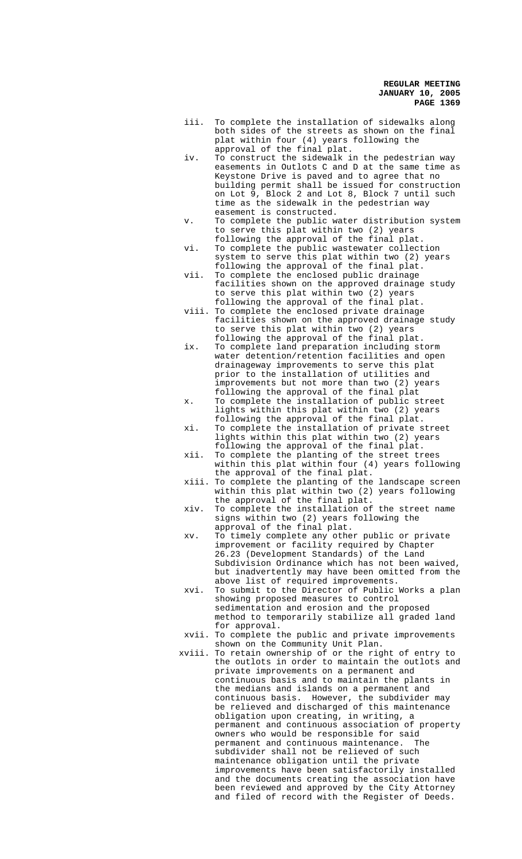- iii. To complete the installation of sidewalks along both sides of the streets as shown on the final plat within four (4) years following the approval of the final plat.
- iv. To construct the sidewalk in the pedestrian way easements in Outlots C and D at the same time as Keystone Drive is paved and to agree that no building permit shall be issued for construction on Lot 9, Block 2 and Lot 8, Block 7 until such time as the sidewalk in the pedestrian way easement is constructed.
- v. To complete the public water distribution system to serve this plat within two (2) years following the approval of the final plat.
- vi. To complete the public wastewater collection system to serve this plat within two (2) years following the approval of the final plat.
- vii. To complete the enclosed public drainage facilities shown on the approved drainage study to serve this plat within two (2) years following the approval of the final plat.
- viii. To complete the enclosed private drainage facilities shown on the approved drainage study to serve this plat within two (2) years following the approval of the final plat.
- ix. To complete land preparation including storm water detention/retention facilities and open drainageway improvements to serve this plat prior to the installation of utilities and improvements but not more than two (2) years following the approval of the final plat
- x. To complete the installation of public street lights within this plat within two (2) years following the approval of the final plat.
- xi. To complete the installation of private street lights within this plat within two (2) years following the approval of the final plat.
- xii. To complete the planting of the street trees within this plat within four (4) years following the approval of the final plat.
- xiii. To complete the planting of the landscape screen within this plat within two (2) years following the approval of the final plat.
- xiv. To complete the installation of the street name signs within two (2) years following the approval of the final plat.
- xv. To timely complete any other public or private improvement or facility required by Chapter 26.23 (Development Standards) of the Land Subdivision Ordinance which has not been waived, but inadvertently may have been omitted from the above list of required improvements.
- xvi. To submit to the Director of Public Works a plan showing proposed measures to control sedimentation and erosion and the proposed method to temporarily stabilize all graded land for approval.
- xvii. To complete the public and private improvements shown on the Community Unit Plan.
- xviii. To retain ownership of or the right of entry to the outlots in order to maintain the outlots and private improvements on a permanent and continuous basis and to maintain the plants in the medians and islands on a permanent and continuous basis. However, the subdivider may be relieved and discharged of this maintenance obligation upon creating, in writing, a permanent and continuous association of property owners who would be responsible for said permanent and continuous maintenance. The subdivider shall not be relieved of such maintenance obligation until the private improvements have been satisfactorily installed and the documents creating the association have been reviewed and approved by the City Attorney and filed of record with the Register of Deeds.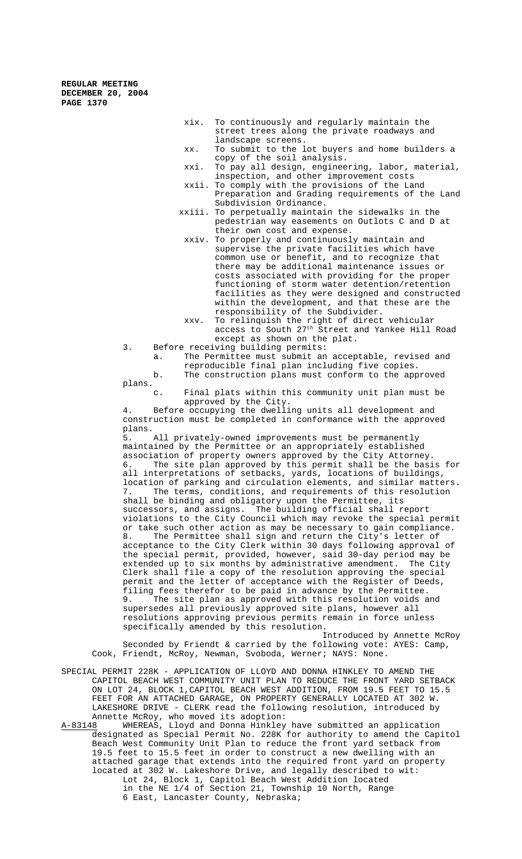- xix. To continuously and regularly maintain the street trees along the private roadways and landscape screens.
- xx. To submit to the lot buyers and home builders a copy of the soil analysis.
- xxi. To pay all design, engineering, labor, material, inspection, and other improvement costs
- xxii. To comply with the provisions of the Land Preparation and Grading requirements of the Land Subdivision Ordinance.
- xxiii. To perpetually maintain the sidewalks in the pedestrian way easements on Outlots C and D at their own cost and expense.
- xxiv. To properly and continuously maintain and supervise the private facilities which have common use or benefit, and to recognize that there may be additional maintenance issues or costs associated with providing for the proper functioning of storm water detention/retention facilities as they were designed and constructed within the development, and that these are the responsibility of the Subdivider.
- xxv. To relinquish the right of direct vehicular access to South 27<sup>th</sup> Street and Yankee Hill Road except as shown on the plat.
- 3. Before receiving building permits:

a. The Permittee must submit an acceptable, revised and reproducible final plan including five copies.

b. The construction plans must conform to the approved plans.

c. Final plats within this community unit plan must be approved by the City.

4. Before occupying the dwelling units all development and construction must be completed in conformance with the approved plans.<br>5.

All privately-owned improvements must be permanently maintained by the Permittee or an appropriately established association of property owners approved by the City Attorney. 6. The site plan approved by this permit shall be the basis for all interpretations of setbacks, yards, locations of buildings, location of parking and circulation elements, and similar matters. The terms, conditions, and requirements of this resolution shall be binding and obligatory upon the Permittee, its successors, and assigns. The building official shall report violations to the City Council which may revoke the special permit or take such other action as may be necessary to gain compliance. 8. The Permittee shall sign and return the City's letter of acceptance to the City Clerk within 30 days following approval of the special permit, provided, however, said 30-day period may be extended up to six months by administrative amendment. The City Clerk shall file a copy of the resolution approving the special permit and the letter of acceptance with the Register of Deeds, filing fees therefor to be paid in advance by the Permittee. 9. The site plan as approved with this resolution voids and supersedes all previously approved site plans, however all resolutions approving previous permits remain in force unless specifically amended by this resolution.

Introduced by Annette McRoy Seconded by Friendt & carried by the following vote: AYES: Camp, Cook, Friendt, McRoy, Newman, Svoboda, Werner; NAYS: None.

- SPECIAL PERMIT 228K APPLICATION OF LLOYD AND DONNA HINKLEY TO AMEND THE CAPITOL BEACH WEST COMMUNITY UNIT PLAN TO REDUCE THE FRONT YARD SETBACK ON LOT 24, BLOCK 1,CAPITOL BEACH WEST ADDITION, FROM 19.5 FEET TO 15.5 FEET FOR AN ATTACHED GARAGE, ON PROPERTY GENERALLY LOCATED AT 302 W. LAKESHORE DRIVE - CLERK read the following resolution, introduced by Annette McRoy, who moved its adoption:
- A-83148 WHEREAS, Lloyd and Donna Hinkley have submitted an application designated as Special Permit No. 228K for authority to amend the Capitol Beach West Community Unit Plan to reduce the front yard setback from 19.5 feet to 15.5 feet in order to construct a new dwelling with an attached garage that extends into the required front yard on property located at 302 W. Lakeshore Drive, and legally described to wit: Lot 24, Block 1, Capitol Beach West Addition located in the NE 1/4 of Section 21, Township 10 North, Range 6 East, Lancaster County, Nebraska;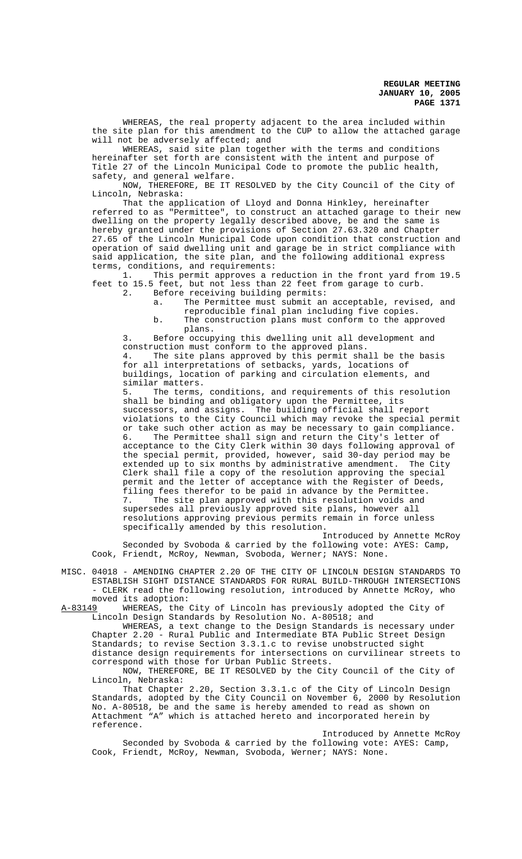WHEREAS, the real property adjacent to the area included within the site plan for this amendment to the CUP to allow the attached garage will not be adversely affected; and

WHEREAS, said site plan together with the terms and conditions hereinafter set forth are consistent with the intent and purpose of Title 27 of the Lincoln Municipal Code to promote the public health, safety, and general welfare.

NOW, THEREFORE, BE IT RESOLVED by the City Council of the City of Lincoln, Nebraska:

That the application of Lloyd and Donna Hinkley, hereinafter referred to as "Permittee", to construct an attached garage to their new dwelling on the property legally described above, be and the same is hereby granted under the provisions of Section 27.63.320 and Chapter 27.65 of the Lincoln Municipal Code upon condition that construction and operation of said dwelling unit and garage be in strict compliance with said application, the site plan, and the following additional express terms, conditions, and requirements:

1. This permit approves a reduction in the front yard from 19.5 feet to 15.5 feet, but not less than 22 feet from garage to curb.

- 2. Before receiving building permits:
	- a. The Permittee must submit an acceptable, revised, and reproducible final plan including five copies. b. The construction plans must conform to the approved
		- plans.

3. Before occupying this dwelling unit all development and construction must conform to the approved plans. 4. The site plans approved by this permit shall be the basis for all interpretations of setbacks, yards, locations of

buildings, location of parking and circulation elements, and similar matters.

5. The terms, conditions, and requirements of this resolution shall be binding and obligatory upon the Permittee, its successors, and assigns. The building official shall report violations to the City Council which may revoke the special permit or take such other action as may be necessary to gain compliance.<br>6. The Permittee shall sign and return the City's letter of The Permittee shall sign and return the City's letter of acceptance to the City Clerk within 30 days following approval of the special permit, provided, however, said 30-day period may be extended up to six months by administrative amendment. The City Clerk shall file a copy of the resolution approving the special permit and the letter of acceptance with the Register of Deeds, filing fees therefor to be paid in advance by the Permittee. 7. The site plan approved with this resolution voids and supersedes all previously approved site plans, however all resolutions approving previous permits remain in force unless specifically amended by this resolution.

Introduced by Annette McRoy Seconded by Svoboda & carried by the following vote: AYES: Camp, Cook, Friendt, McRoy, Newman, Svoboda, Werner; NAYS: None.

MISC. 04018 - AMENDING CHAPTER 2.20 OF THE CITY OF LINCOLN DESIGN STANDARDS TO ESTABLISH SIGHT DISTANCE STANDARDS FOR RURAL BUILD-THROUGH INTERSECTIONS - CLERK read the following resolution, introduced by Annette McRoy, who moved its adoption:

A-83149 WHEREAS, the City of Lincoln has previously adopted the City of Lincoln Design Standards by Resolution No. A-80518; and

WHEREAS, a text change to the Design Standards is necessary under Chapter 2.20 - Rural Public and Intermediate BTA Public Street Design Standards; to revise Section 3.3.1.c to revise unobstructed sight distance design requirements for intersections on curvilinear streets to correspond with those for Urban Public Streets.

NOW, THEREFORE, BE IT RESOLVED by the City Council of the City of Lincoln, Nebraska:

That Chapter 2.20, Section 3.3.1.c of the City of Lincoln Design Standards, adopted by the City Council on November 6, 2000 by Resolution No. A-80518, be and the same is hereby amended to read as shown on Attachment "A" which is attached hereto and incorporated herein by reference.

Introduced by Annette McRoy Seconded by Svoboda & carried by the following vote: AYES: Camp, Cook, Friendt, McRoy, Newman, Svoboda, Werner; NAYS: None.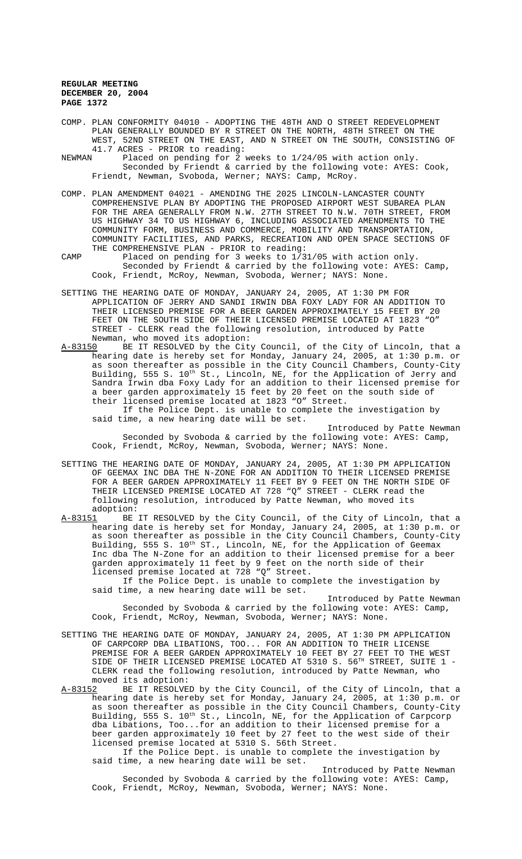- COMP. PLAN CONFORMITY 04010 ADOPTING THE 48TH AND O STREET REDEVELOPMENT PLAN GENERALLY BOUNDED BY R STREET ON THE NORTH, 48TH STREET ON THE WEST, 52ND STREET ON THE EAST, AND N STREET ON THE SOUTH, CONSISTING OF 41.7 ACRES - PRIOR to reading:<br>NEWMAN Placed on pending for 2
- Placed on pending for 2 weeks to  $1/24/05$  with action only. Seconded by Friendt & carried by the following vote: AYES: Cook, Friendt, Newman, Svoboda, Werner; NAYS: Camp, McRoy.
- COMP. PLAN AMENDMENT 04021 AMENDING THE 2025 LINCOLN-LANCASTER COUNTY COMPREHENSIVE PLAN BY ADOPTING THE PROPOSED AIRPORT WEST SUBAREA PLAN FOR THE AREA GENERALLY FROM N.W. 27TH STREET TO N.W. 70TH STREET, FROM US HIGHWAY 34 TO US HIGHWAY 6, INCLUDING ASSOCIATED AMENDMENTS TO THE COMMUNITY FORM, BUSINESS AND COMMERCE, MOBILITY AND TRANSPORTATION, COMMUNITY FACILITIES, AND PARKS, RECREATION AND OPEN SPACE SECTIONS OF THE COMPREHENSIVE PLAN - PRIOR to reading:
- CAMP Placed on pending for 3 weeks to 1/31/05 with action only. Seconded by Friendt & carried by the following vote: AYES: Camp, Cook, Friendt, McRoy, Newman, Svoboda, Werner; NAYS: None.
- SETTING THE HEARING DATE OF MONDAY, JANUARY 24, 2005, AT 1:30 PM FOR APPLICATION OF JERRY AND SANDI IRWIN DBA FOXY LADY FOR AN ADDITION TO THEIR LICENSED PREMISE FOR A BEER GARDEN APPROXIMATELY 15 FEET BY 20 FEET ON THE SOUTH SIDE OF THEIR LICENSED PREMISE LOCATED AT 1823 "O" STREET - CLERK read the following resolution, introduced by Patte Newman, who moved its adoption:<br>A-83150 BE IT RESOLVED by the Cit
- BE IT RESOLVED by the City Council, of the City of Lincoln, that a hearing date is hereby set for Monday, January 24, 2005, at 1:30 p.m. or as soon thereafter as possible in the City Council Chambers, County-City Building, 555 S. 10<sup>th</sup> St., Lincoln, NE, for the Application of Jerry and Sandra Irwin dba Foxy Lady for an addition to their licensed premise for a beer garden approximately 15 feet by 20 feet on the south side of their licensed premise located at 1823 "O" Street.

If the Police Dept. is unable to complete the investigation by said time, a new hearing date will be set.

Introduced by Patte Newman Seconded by Svoboda & carried by the following vote: AYES: Camp, Cook, Friendt, McRoy, Newman, Svoboda, Werner; NAYS: None.

- SETTING THE HEARING DATE OF MONDAY, JANUARY 24, 2005, AT 1:30 PM APPLICATION OF GEEMAX INC DBA THE N-ZONE FOR AN ADDITION TO THEIR LICENSED PREMISE FOR A BEER GARDEN APPROXIMATELY 11 FEET BY 9 FEET ON THE NORTH SIDE OF THEIR LICENSED PREMISE LOCATED AT 728 "Q" STREET - CLERK read the following resolution, introduced by Patte Newman, who moved its adoption:
- A-83151 BE IT RESOLVED by the City Council, of the City of Lincoln, that a hearing date is hereby set for Monday, January 24, 2005, at 1:30 p.m. or as soon thereafter as possible in the City Council Chambers, County-City Building, 555 S. 10<sup>th</sup> ST., Lincoln, NE, for the Application of Geemax Inc dba The N-Zone for an addition to their licensed premise for a beer garden approximately 11 feet by 9 feet on the north side of their licensed premise located at 728 "Q" Street.

If the Police Dept. is unable to complete the investigation by said time, a new hearing date will be set.

Introduced by Patte Newman Seconded by Svoboda & carried by the following vote: AYES: Camp, Cook, Friendt, McRoy, Newman, Svoboda, Werner; NAYS: None.

- SETTING THE HEARING DATE OF MONDAY, JANUARY 24, 2005, AT 1:30 PM APPLICATION OF CARPCORP DBA LIBATIONS, TOO... FOR AN ADDITION TO THEIR LICENSE PREMISE FOR A BEER GARDEN APPROXIMATELY 10 FEET BY 27 FEET TO THE WEST SIDE OF THEIR LICENSED PREMISE LOCATED AT 5310 S. 56TH STREET, SUITE 1 -CLERK read the following resolution, introduced by Patte Newman, who
- moved its adoption:<br>A-83152 BE IT RESOLVE BE IT RESOLVED by the City Council, of the City of Lincoln, that a hearing date is hereby set for Monday, January 24, 2005, at 1:30 p.m. or as soon thereafter as possible in the City Council Chambers, County-City Building, 555 S. 10<sup>th</sup> St., Lincoln, NE, for the Application of Carpcorp dba Libations, Too...for an addition to their licensed premise for a beer garden approximately 10 feet by 27 feet to the west side of their licensed premise located at 5310 S. 56th Street.

If the Police Dept. is unable to complete the investigation by said time, a new hearing date will be set.

Introduced by Patte Newman Seconded by Svoboda & carried by the following vote: AYES: Camp, Cook, Friendt, McRoy, Newman, Svoboda, Werner; NAYS: None.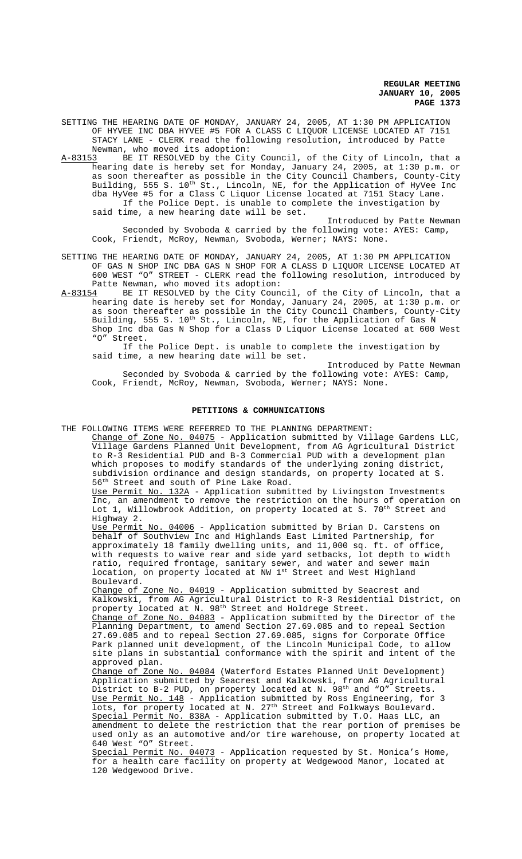SETTING THE HEARING DATE OF MONDAY, JANUARY 24, 2005, AT 1:30 PM APPLICATION OF HYVEE INC DBA HYVEE #5 FOR A CLASS C LIQUOR LICENSE LOCATED AT 7151 STACY LANE - CLERK read the following resolution, introduced by Patte Newman, who moved its adoption:<br>A-83153 BE IT RESOLVED by the Cit

BE IT RESOLVED by the City Council, of the City of Lincoln, that a hearing date is hereby set for Monday, January 24, 2005, at 1:30 p.m. or as soon thereafter as possible in the City Council Chambers, County-City Building, 555 S. 10<sup>th</sup> St., Lincoln, NE, for the Application of HyVee Inc dba HyVee #5 for a Class C Liquor License located at 7151 Stacy Lane. If the Police Dept. is unable to complete the investigation by said time, a new hearing date will be set.

Introduced by Patte Newman Seconded by Svoboda & carried by the following vote: AYES: Camp, Cook, Friendt, McRoy, Newman, Svoboda, Werner; NAYS: None.

SETTING THE HEARING DATE OF MONDAY, JANUARY 24, 2005, AT 1:30 PM APPLICATION OF GAS N SHOP INC DBA GAS N SHOP FOR A CLASS D LIQUOR LICENSE LOCATED AT 600 WEST "O" STREET - CLERK read the following resolution, introduced by Patte Newman, who moved its adoption:

A-83154 BE IT RESOLVED by the City Council, of the City of Lincoln, that a hearing date is hereby set for Monday, January 24, 2005, at 1:30 p.m. or as soon thereafter as possible in the City Council Chambers, County-City Building, 555 S. 10<sup>th</sup> St., Lincoln, NE, for the Application of Gas N Shop Inc dba Gas N Shop for a Class D Liquor License located at 600 West "O" Street. Street.

If the Police Dept. is unable to complete the investigation by said time, a new hearing date will be set.

Introduced by Patte Newman Seconded by Svoboda & carried by the following vote: AYES: Camp, Cook, Friendt, McRoy, Newman, Svoboda, Werner; NAYS: None.

## **PETITIONS & COMMUNICATIONS**

THE FOLLOWING ITEMS WERE REFERRED TO THE PLANNING DEPARTMENT:

Change of Zone No. 04075 - Application submitted by Village Gardens LLC, Village Gardens Planned Unit Development, from AG Agricultural District to R-3 Residential PUD and B-3 Commercial PUD with a development plan which proposes to modify standards of the underlying zoning district, subdivision ordinance and design standards, on property located at S. 56th Street and south of Pine Lake Road.

Use Permit No. 132A - Application submitted by Livingston Investments Inc, an amendment to remove the restriction on the hours of operation on Lot 1, Willowbrook Addition, on property located at S. 70<sup>th</sup> Street and Highway 2.

Use Permit No. 04006 - Application submitted by Brian D. Carstens on behalf of Southview Inc and Highlands East Limited Partnership, for approximately 18 family dwelling units, and 11,000 sq. ft. of office, with requests to waive rear and side yard setbacks, lot depth to width ratio, required frontage, sanitary sewer, and water and sewer main location, on property located at NW 1st Street and West Highland Boulevard.

Change of Zone No. 04019 - Application submitted by Seacrest and Kalkowski, from AG Agricultural District to R-3 Residential District, on property located at N. 98<sup>th</sup> Street and Holdrege Street.

Change of Zone No. 04083 - Application submitted by the Director of the Planning Department, to amend Section 27.69.085 and to repeal Section 27.69.085 and to repeal Section 27.69.085, signs for Corporate Office Park planned unit development, of the Lincoln Municipal Code, to allow site plans in substantial conformance with the spirit and intent of the approved plan.

Change of Zone No. 04084 (Waterford Estates Planned Unit Development) Application submitted by Seacrest and Kalkowski, from AG Agricultural District to B-2 PUD, on property located at N. 98<sup>th</sup> and "O" Streets. Use Permit No. 148 - Application submitted by Ross Engineering, for 3 lots, for property located at N. 27<sup>th</sup> Street and Folkways Boulevard. Special Permit No. 838A - Application submitted by T.O. Haas LLC, an amendment to delete the restriction that the rear portion of premises be used only as an automotive and/or tire warehouse, on property located at 640 West "O" Street.

Special Permit No. 04073 - Application requested by St. Monica's Home, for a health care facility on property at Wedgewood Manor, located at 120 Wedgewood Drive.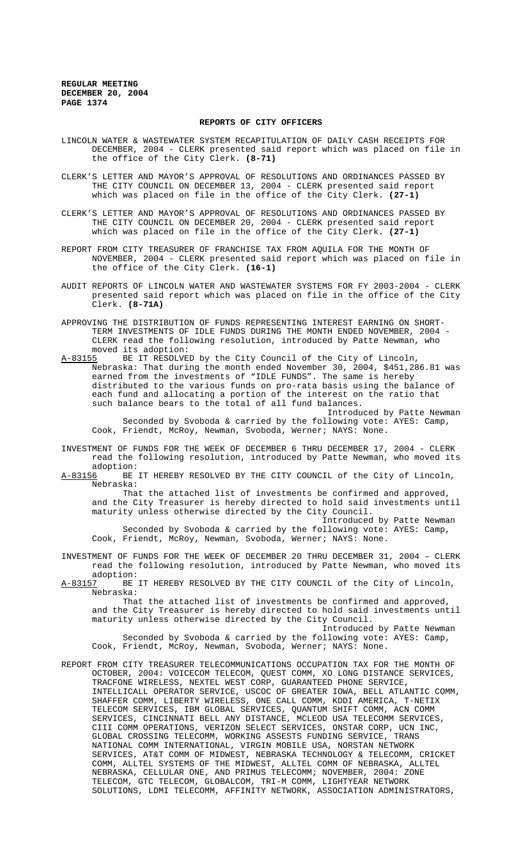#### **REPORTS OF CITY OFFICERS**

- LINCOLN WATER & WASTEWATER SYSTEM RECAPITULATION OF DAILY CASH RECEIPTS FOR DECEMBER, 2004 - CLERK presented said report which was placed on file in the office of the City Clerk. **(8-71)**
- CLERK'S LETTER AND MAYOR'S APPROVAL OF RESOLUTIONS AND ORDINANCES PASSED BY THE CITY COUNCIL ON DECEMBER 13, 2004 - CLERK presented said report which was placed on file in the office of the City Clerk. **(27-1)**
- CLERK'S LETTER AND MAYOR'S APPROVAL OF RESOLUTIONS AND ORDINANCES PASSED BY THE CITY COUNCIL ON DECEMBER 20, 2004 - CLERK presented said report which was placed on file in the office of the City Clerk. **(27-1)**
- REPORT FROM CITY TREASURER OF FRANCHISE TAX FROM AQUILA FOR THE MONTH OF NOVEMBER, 2004 - CLERK presented said report which was placed on file in the office of the City Clerk. **(16-1)**
- AUDIT REPORTS OF LINCOLN WATER AND WASTEWATER SYSTEMS FOR FY 2003-2004 CLERK presented said report which was placed on file in the office of the City Clerk. **(8-71A)**
- APPROVING THE DISTRIBUTION OF FUNDS REPRESENTING INTEREST EARNING ON SHORT-TERM INVESTMENTS OF IDLE FUNDS DURING THE MONTH ENDED NOVEMBER, 2004 - CLERK read the following resolution, introduced by Patte Newman, who moved its adoption:<br>A-83155 BE IT RESOLVE
- BE IT RESOLVED by the City Council of the City of Lincoln, Nebraska: That during the month ended November 30, 2004, \$451,286.81 was earned from the investments of "IDLE FUNDS". The same is hereby distributed to the various funds on pro-rata basis using the balance of each fund and allocating a portion of the interest on the ratio that such balance bears to the total of all fund balances.
	- Introduced by Patte Newman Seconded by Svoboda & carried by the following vote: AYES: Camp, Cook, Friendt, McRoy, Newman, Svoboda, Werner; NAYS: None.
- INVESTMENT OF FUNDS FOR THE WEEK OF DECEMBER 6 THRU DECEMBER 17, 2004 CLERK read the following resolution, introduced by Patte Newman, who moved its
- adoption:<br>A-83156 BE BE IT HEREBY RESOLVED BY THE CITY COUNCIL of the City of Lincoln, Nebraska:

That the attached list of investments be confirmed and approved, and the City Treasurer is hereby directed to hold said investments until maturity unless otherwise directed by the City Council.

Introduced by Patte Newman Seconded by Svoboda & carried by the following vote: AYES: Camp, Cook, Friendt, McRoy, Newman, Svoboda, Werner; NAYS: None.

- INVESTMENT OF FUNDS FOR THE WEEK OF DECEMBER 20 THRU DECEMBER 31, 2004 CLERK read the following resolution, introduced by Patte Newman, who moved its
- adoption:<br>A-83157 BE BE IT HEREBY RESOLVED BY THE CITY COUNCIL of the City of Lincoln, Nebraska:

That the attached list of investments be confirmed and approved, and the City Treasurer is hereby directed to hold said investments until maturity unless otherwise directed by the City Council. Introduced by Patte Newman

Seconded by Svoboda & carried by the following vote: AYES: Camp, Cook, Friendt, McRoy, Newman, Svoboda, Werner; NAYS: None.

REPORT FROM CITY TREASURER TELECOMMUNICATIONS OCCUPATION TAX FOR THE MONTH OF OCTOBER, 2004: VOICECOM TELECOM, QUEST COMM, XO LONG DISTANCE SERVICES, TRACFONE WIRELESS, NEXTEL WEST CORP, GUARANTEED PHONE SERVICE, INTELLICALL OPERATOR SERVICE, USCOC OF GREATER IOWA, BELL ATLANTIC COMM, SHAFFER COMM, LIBERTY WIRELESS, ONE CALL COMM, KDDI AMERICA, T-NETIX TELECOM SERVICES, IBM GLOBAL SERVICES, QUANTUM SHIFT COMM, ACN COMM SERVICES, CINCINNATI BELL ANY DISTANCE, MCLEOD USA TELECOMM SERVICES, CIII COMM OPERATIONS, VERIZON SELECT SERVICES, ONSTAR CORP, UCN INC, GLOBAL CROSSING TELECOMM, WORKING ASSESTS FUNDING SERVICE, TRANS NATIONAL COMM INTERNATIONAL, VIRGIN MOBILE USA, NORSTAN NETWORK SERVICES, AT&T COMM OF MIDWEST, NEBRASKA TECHNOLOGY & TELECOMM, CRICKET COMM, ALLTEL SYSTEMS OF THE MIDWEST, ALLTEL COMM OF NEBRASKA, ALLTEL NEBRASKA, CELLULAR ONE, AND PRIMUS TELECOMM; NOVEMBER, 2004: ZONE TELECOM, GTC TELECOM, GLOBALCOM, TRI-M COMM, LIGHTYEAR NETWORK SOLUTIONS, LDMI TELECOMM, AFFINITY NETWORK, ASSOCIATION ADMINISTRATORS,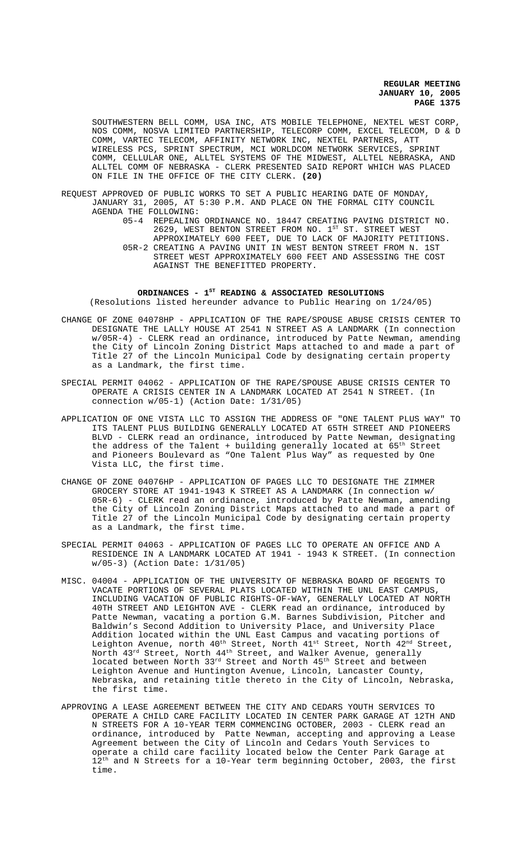SOUTHWESTERN BELL COMM, USA INC, ATS MOBILE TELEPHONE, NEXTEL WEST CORP, NOS COMM, NOSVA LIMITED PARTNERSHIP, TELECORP COMM, EXCEL TELECOM, D & D COMM, VARTEC TELECOM, AFFINITY NETWORK INC, NEXTEL PARTNERS, ATT WIRELESS PCS, SPRINT SPECTRUM, MCI WORLDCOM NETWORK SERVICES, SPRINT COMM, CELLULAR ONE, ALLTEL SYSTEMS OF THE MIDWEST, ALLTEL NEBRASKA, AND ALLTEL COMM OF NEBRASKA - CLERK PRESENTED SAID REPORT WHICH WAS PLACED ON FILE IN THE OFFICE OF THE CITY CLERK. **(20)**

- REQUEST APPROVED OF PUBLIC WORKS TO SET A PUBLIC HEARING DATE OF MONDAY, JANUARY 31, 2005, AT 5:30 P.M. AND PLACE ON THE FORMAL CITY COUNCIL AGENDA THE FOLLOWING:
	- 05-4 REPEALING ORDINANCE NO. 18447 CREATING PAVING DISTRICT NO. 2629, WEST BENTON STREET FROM NO.  $1^{ST}$  ST. STREET WEST APPROXIMATELY 600 FEET, DUE TO LACK OF MAJORITY PETITIONS. 05R-2 CREATING A PAVING UNIT IN WEST BENTON STREET FROM N. 1ST STREET WEST APPROXIMATELY 600 FEET AND ASSESSING THE COST AGAINST THE BENEFITTED PROPERTY.

# ORDINANCES - 1<sup>st</sup> READING & ASSOCIATED RESOLUTIONS (Resolutions listed hereunder advance to Public Hearing on 1/24/05)

- CHANGE OF ZONE 04078HP APPLICATION OF THE RAPE/SPOUSE ABUSE CRISIS CENTER TO DESIGNATE THE LALLY HOUSE AT 2541 N STREET AS A LANDMARK (In connection w/05R-4) - CLERK read an ordinance, introduced by Patte Newman, amending the City of Lincoln Zoning District Maps attached to and made a part of Title 27 of the Lincoln Municipal Code by designating certain property as a Landmark, the first time.
- SPECIAL PERMIT 04062 APPLICATION OF THE RAPE/SPOUSE ABUSE CRISIS CENTER TO OPERATE A CRISIS CENTER IN A LANDMARK LOCATED AT 2541 N STREET. (In connection w/05-1) (Action Date: 1/31/05)
- APPLICATION OF ONE VISTA LLC TO ASSIGN THE ADDRESS OF "ONE TALENT PLUS WAY" TO ITS TALENT PLUS BUILDING GENERALLY LOCATED AT 65TH STREET AND PIONEERS BLVD - CLERK read an ordinance, introduced by Patte Newman, designating the address of the Talent + building generally located at 65<sup>th</sup> Street and Pioneers Boulevard as "One Talent Plus Way" as requested by One Vista LLC, the first time.
- CHANGE OF ZONE 04076HP APPLICATION OF PAGES LLC TO DESIGNATE THE ZIMMER GROCERY STORE AT 1941-1943 K STREET AS A LANDMARK (In connection w/ 05R-6) - CLERK read an ordinance, introduced by Patte Newman, amending the City of Lincoln Zoning District Maps attached to and made a part of Title 27 of the Lincoln Municipal Code by designating certain property as a Landmark, the first time.
- SPECIAL PERMIT 04063 APPLICATION OF PAGES LLC TO OPERATE AN OFFICE AND A RESIDENCE IN A LANDMARK LOCATED AT 1941 - 1943 K STREET. (In connection w/05-3) (Action Date: 1/31/05)
- MISC. 04004 APPLICATION OF THE UNIVERSITY OF NEBRASKA BOARD OF REGENTS TO VACATE PORTIONS OF SEVERAL PLATS LOCATED WITHIN THE UNL EAST CAMPUS, INCLUDING VACATION OF PUBLIC RIGHTS-OF-WAY, GENERALLY LOCATED AT NORTH 40TH STREET AND LEIGHTON AVE - CLERK read an ordinance, introduced by Patte Newman, vacating a portion G.M. Barnes Subdivision, Pitcher and Baldwin's Second Addition to University Place, and University Place Addition located within the UNL East Campus and vacating portions of Leighton Avenue, north 40<sup>th</sup> Street, North 41<sup>st</sup> Street, North 42<sup>nd</sup> Street, North 43<sup>rd</sup> Street, North 44<sup>th</sup> Street, and Walker Avenue, generally located between North 33rd Street and North 45<sup>th</sup> Street and between Leighton Avenue and Huntington Avenue, Lincoln, Lancaster County, Nebraska, and retaining title thereto in the City of Lincoln, Nebraska, the first time.
- APPROVING A LEASE AGREEMENT BETWEEN THE CITY AND CEDARS YOUTH SERVICES TO OPERATE A CHILD CARE FACILITY LOCATED IN CENTER PARK GARAGE AT 12TH AND N STREETS FOR A 10-YEAR TERM COMMENCING OCTOBER, 2003 - CLERK read an ordinance, introduced by Patte Newman, accepting and approving a Lease Agreement between the City of Lincoln and Cedars Youth Services to operate a child care facility located below the Center Park Garage at 12<sup>th</sup> and N Streets for a 10-Year term beginning October, 2003, the first time.